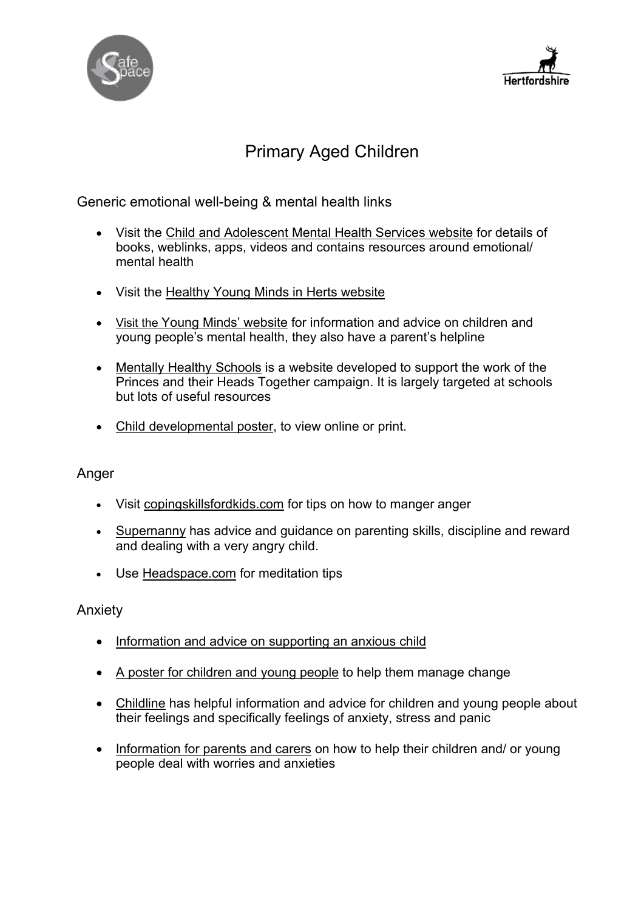



# Primary Aged Children

Generic emotional well-being & mental health links

- Visit the [Child and Adolescent Mental Health Services website](https://www.camhs-resources.co.uk/) for details of books, weblinks, apps, videos and contains resources around emotional/ mental health
- [Visit the](https://www.healthyyoungmindsinherts.org.uk/parents-and-carers) [Healthy Young Minds in Herts](https://www.healthyyoungmindsinherts.org.uk/parents-and-carers) website
- [Visit the Young Minds' website](https://youngminds.org.uk/) for information and advice on children and young people's mental health, they also have a parent's helpline
- [Mentally Healthy Schools](https://www.mentallyhealthyschools.org.uk/resources/) is a website developed to support the work of the Princes and their Heads Together campaign. It is largely targeted at schools but lots of useful resources
- [Child developmental poster,](http://www.thegrid.org.uk/learning/hwb/ewb/resources/documents/child_dev%20_poster0-11.pdf) to view online or print.

### Anger

- Visit [copingskillsfordkids.com](https://copingskillsforkids.com/managing-anger) for tips on how to manger anger
- [Supernanny](https://www.supernanny.co.uk/Advice/-/Parenting-Skills/-/Discipline-and-) has advice and guidance on parenting skills, discipline and reward and dealing with a very angry child.
- Use [Headspace.com](https://www.headspace.com/meditation/anger) for meditation tips

### Anxiety

- [Information and advice on supporting an anxious child](file://hertscc.gov.uk/home/HERTFORD/USERS/Amelia%20Dunn/1.%09https:/healthyfamilies.beyondblue.org.au/age-6-12/mental-health-conditions-in-children/anxiety)
- [A poster for children and young people](https://youngminds.org.uk/media/2957/top-ten-tips-poster.pdf) to help them manage change
- [Childline](https://www.childline.org.uk/info-advice/your-feelings/anxiety-stress-panic/) has helpful information and advice for children and young people about their feelings and specifically feelings of anxiety, stress and panic
- [Information for parents and carers](file://hertscc.gov.uk/home/HERTFORD/USERS/Amelia%20Dunn/1.%09https:/www.rcpsych.ac.uk/mental-health/parents-and-young-people/information-for-parents-and-carers/worries-and-anxieties---helping-children-to-cope-for-parents-and-carers) on how to help their children and/ or young people deal with worries and anxieties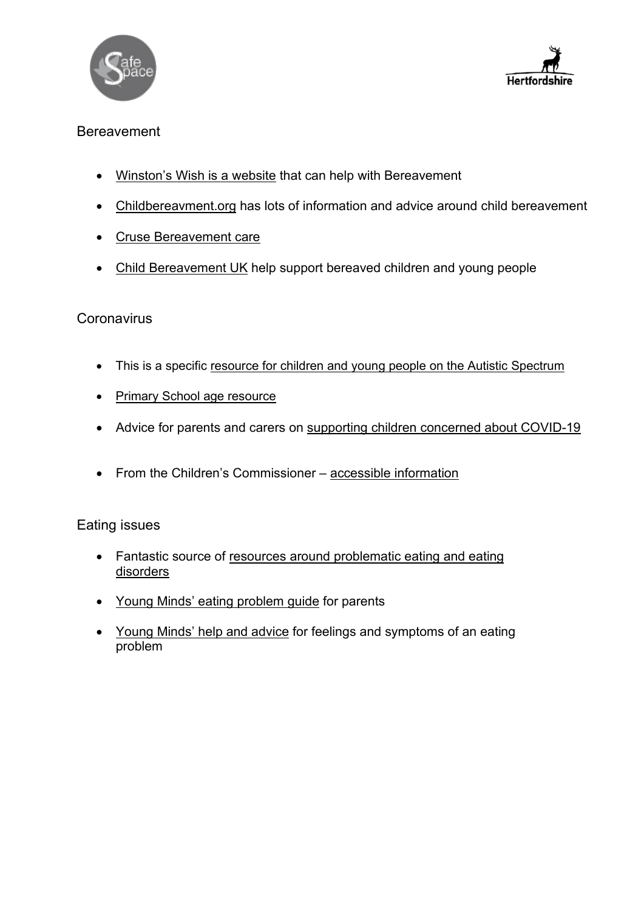



## Bereavement

- [Winston's Wish is a website](https://www.winstonswish.org/) that can help with Bereavement
- [Childbereavment.org](https://www.childbereavementuk.org/) has lots of information and advice around child bereavement
- [Cruse Bereavement care](https://www.cruse.org.uk/)
- [Child Bereavement UK](https://www.childbereavementuk.org/supporting-bereaved-children-and-young-people) help support bereaved children and young people

## **Coronavirus**

- This is a specific [resource for children and young people on the Autistic Spectrum](http://www.cardiffandvaleuhb.wales.nhs.uk/sitesplus/documents/1143/Supp%20orting%20Children%20with%20LD%20&%20ASD%20with%20COVID%20Isola%20tion.pdf)
- [Primary School age resource](https://660919d3-b85b-43c3-a3ad-3de6a9d37099.filesusr.com/ugd/64c685_319c5acf38d34604b537ac9fae37fc80)
- Advice for parents and carers on [supporting children concerned about COVID-19](https://emergingminds.org.uk/wp-content/uploads/2020/03/COVID19_advice-for-parents-and-carers_20.3_.pdf)
- From the Children's Commissioner accessible [information](https://www.childrenscommissioner.gov.uk/publication/childrens-guide-to-coronavirus/?utm_source=Children%27s+Commissioner+for+England&utm_%20campaign=55b235e7e4-EMAIL_CAMPAIGN_2020_03_31_04_29&utm_medium=email&utm_term=0_5%20e06e44c59-55b235e7e4-24069761)

### Eating issues

- Fantastic source of resources around problematic eating and eating [disorders](https://www.beateatingdisorders.org.uk/)
- [Young Minds' eating problem guide](file://hertscc.gov.uk/home/HERTFORD/USERS/Amelia%20Dunn/1.%09https:/youngminds.org.uk/find-help/for-parents/parents-guide-to-support-a-z/parents-guide-to-support-eating-problems/) for parents
- [Young Minds' help and advice](file://hertscc.gov.uk/home/HERTFORD/USERS/Amelia%20Dunn/2.%09https:/youngminds.org.uk/find-help/feelings-and-symptoms/eating-problems/) for feelings and symptoms of an eating problem